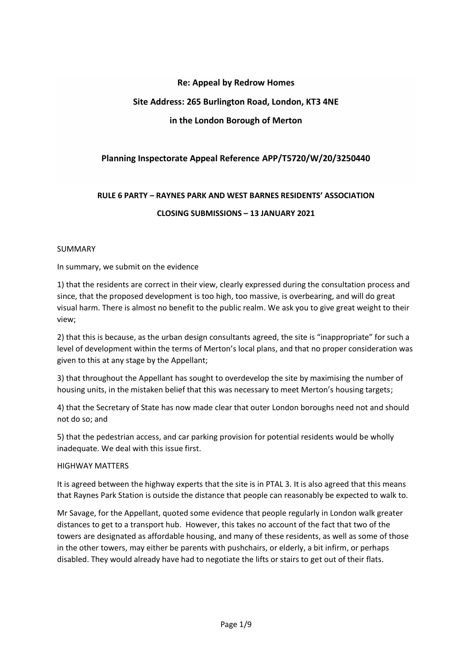# **Re: Appeal by Redrow Homes**

# **Site Address: 265 Burlington Road, London, KT3 4NE**

# **in the London Borough of Merton**

# **Planning Inspectorate Appeal Reference APP/T5720/W/20/3250440**

# **RULE 6 PARTY – RAYNES PARK AND WEST BARNES RESIDENTS' ASSOCIATION CLOSING SUBMISSIONS – 13 JANUARY 2021**

#### SUMMARY

#### In summary, we submit on the evidence

1) that the residents are correct in their view, clearly expressed during the consultation process and since, that the proposed development is too high, too massive, is overbearing, and will do great visual harm. There is almost no benefit to the public realm. We ask you to give great weight to their view;

2) that this is because, as the urban design consultants agreed, the site is "inappropriate" for such a level of development within the terms of Merton's local plans, and that no proper consideration was given to this at any stage by the Appellant;

3) that throughout the Appellant has sought to overdevelop the site by maximising the number of housing units, in the mistaken belief that this was necessary to meet Merton's housing targets;

4) that the Secretary of State has now made clear that outer London boroughs need not and should not do so; and

5) that the pedestrian access, and car parking provision for potential residents would be wholly inadequate. We deal with this issue first.

#### HIGHWAY MATTERS

It is agreed between the highway experts that the site is in PTAL 3. It is also agreed that this means that Raynes Park Station is outside the distance that people can reasonably be expected to walk to.

Mr Savage, for the Appellant, quoted some evidence that people regularly in London walk greater distances to get to a transport hub. However, this takes no account of the fact that two of the towers are designated as affordable housing, and many of these residents, as well as some of those in the other towers, may either be parents with pushchairs, or elderly, a bit infirm, or perhaps disabled. They would already have had to negotiate the lifts or stairs to get out of their flats.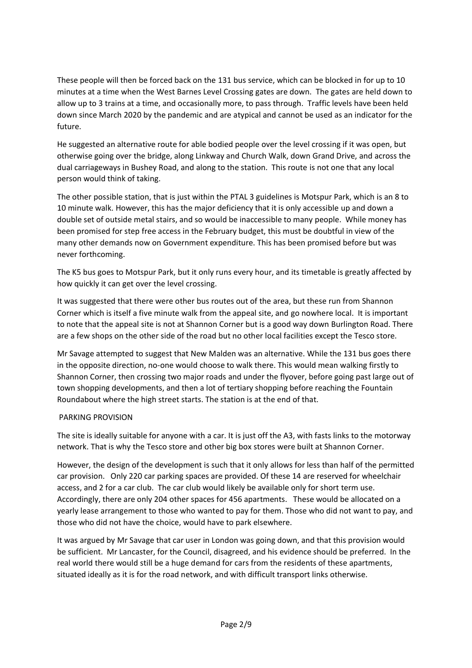These people will then be forced back on the 131 bus service, which can be blocked in for up to 10 minutes at a time when the West Barnes Level Crossing gates are down. The gates are held down to allow up to 3 trains at a time, and occasionally more, to pass through. Traffic levels have been held down since March 2020 by the pandemic and are atypical and cannot be used as an indicator for the future.

He suggested an alternative route for able bodied people over the level crossing if it was open, but otherwise going over the bridge, along Linkway and Church Walk, down Grand Drive, and across the dual carriageways in Bushey Road, and along to the station. This route is not one that any local person would think of taking.

The other possible station, that is just within the PTAL 3 guidelines is Motspur Park, which is an 8 to 10 minute walk. However, this has the major deficiency that it is only accessible up and down a double set of outside metal stairs, and so would be inaccessible to many people. While money has been promised for step free access in the February budget, this must be doubtful in view of the many other demands now on Government expenditure. This has been promised before but was never forthcoming.

The K5 bus goes to Motspur Park, but it only runs every hour, and its timetable is greatly affected by how quickly it can get over the level crossing.

It was suggested that there were other bus routes out of the area, but these run from Shannon Corner which is itself a five minute walk from the appeal site, and go nowhere local. It is important to note that the appeal site is not at Shannon Corner but is a good way down Burlington Road. There are a few shops on the other side of the road but no other local facilities except the Tesco store.

Mr Savage attempted to suggest that New Malden was an alternative. While the 131 bus goes there in the opposite direction, no-one would choose to walk there. This would mean walking firstly to Shannon Corner, then crossing two major roads and under the flyover, before going past large out of town shopping developments, and then a lot of tertiary shopping before reaching the Fountain Roundabout where the high street starts. The station is at the end of that.

# PARKING PROVISION

The site is ideally suitable for anyone with a car. It is just off the A3, with fasts links to the motorway network. That is why the Tesco store and other big box stores were built at Shannon Corner.

However, the design of the development is such that it only allows for less than half of the permitted car provision. Only 220 car parking spaces are provided. Of these 14 are reserved for wheelchair access, and 2 for a car club. The car club would likely be available only for short term use. Accordingly, there are only 204 other spaces for 456 apartments. These would be allocated on a yearly lease arrangement to those who wanted to pay for them. Those who did not want to pay, and those who did not have the choice, would have to park elsewhere.

It was argued by Mr Savage that car user in London was going down, and that this provision would be sufficient. Mr Lancaster, for the Council, disagreed, and his evidence should be preferred. In the real world there would still be a huge demand for cars from the residents of these apartments, situated ideally as it is for the road network, and with difficult transport links otherwise.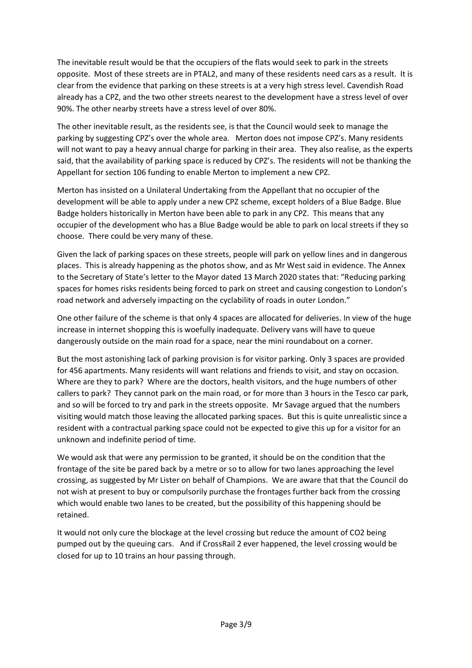The inevitable result would be that the occupiers of the flats would seek to park in the streets opposite. Most of these streets are in PTAL2, and many of these residents need cars as a result. It is clear from the evidence that parking on these streets is at a very high stress level. Cavendish Road already has a CPZ, and the two other streets nearest to the development have a stress level of over 90%. The other nearby streets have a stress level of over 80%.

The other inevitable result, as the residents see, is that the Council would seek to manage the parking by suggesting CPZ's over the whole area. Merton does not impose CPZ's. Many residents will not want to pay a heavy annual charge for parking in their area. They also realise, as the experts said, that the availability of parking space is reduced by CPZ's. The residents will not be thanking the Appellant for section 106 funding to enable Merton to implement a new CPZ.

Merton has insisted on a Unilateral Undertaking from the Appellant that no occupier of the development will be able to apply under a new CPZ scheme, except holders of a Blue Badge. Blue Badge holders historically in Merton have been able to park in any CPZ. This means that any occupier of the development who has a Blue Badge would be able to park on local streets if they so choose. There could be very many of these.

Given the lack of parking spaces on these streets, people will park on yellow lines and in dangerous places. This is already happening as the photos show, and as Mr West said in evidence. The Annex to the Secretary of State's letter to the Mayor dated 13 March 2020 states that: "Reducing parking spaces for homes risks residents being forced to park on street and causing congestion to London's road network and adversely impacting on the cyclability of roads in outer London."

One other failure of the scheme is that only 4 spaces are allocated for deliveries. In view of the huge increase in internet shopping this is woefully inadequate. Delivery vans will have to queue dangerously outside on the main road for a space, near the mini roundabout on a corner.

But the most astonishing lack of parking provision is for visitor parking. Only 3 spaces are provided for 456 apartments. Many residents will want relations and friends to visit, and stay on occasion. Where are they to park? Where are the doctors, health visitors, and the huge numbers of other callers to park? They cannot park on the main road, or for more than 3 hours in the Tesco car park, and so will be forced to try and park in the streets opposite. Mr Savage argued that the numbers visiting would match those leaving the allocated parking spaces. But this is quite unrealistic since a resident with a contractual parking space could not be expected to give this up for a visitor for an unknown and indefinite period of time.

We would ask that were any permission to be granted, it should be on the condition that the frontage of the site be pared back by a metre or so to allow for two lanes approaching the level crossing, as suggested by Mr Lister on behalf of Champions. We are aware that that the Council do not wish at present to buy or compulsorily purchase the frontages further back from the crossing which would enable two lanes to be created, but the possibility of this happening should be retained.

It would not only cure the blockage at the level crossing but reduce the amount of CO2 being pumped out by the queuing cars. And if CrossRail 2 ever happened, the level crossing would be closed for up to 10 trains an hour passing through.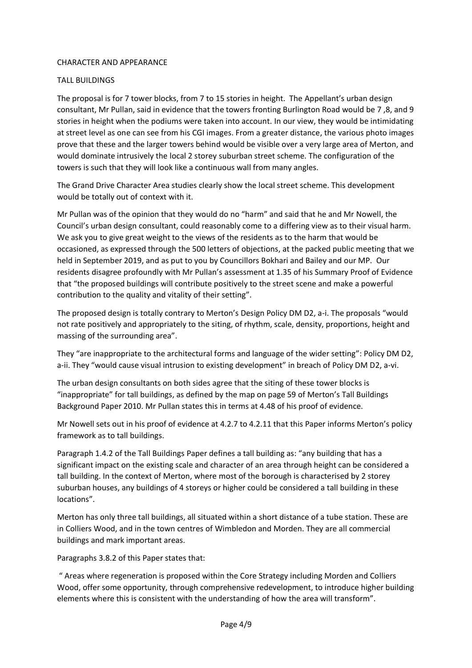#### CHARACTER AND APPEARANCE

#### TALL BUILDINGS

The proposal is for 7 tower blocks, from 7 to 15 stories in height. The Appellant's urban design consultant, Mr Pullan, said in evidence that the towers fronting Burlington Road would be 7 ,8, and 9 stories in height when the podiums were taken into account. In our view, they would be intimidating at street level as one can see from his CGI images. From a greater distance, the various photo images prove that these and the larger towers behind would be visible over a very large area of Merton, and would dominate intrusively the local 2 storey suburban street scheme. The configuration of the towers is such that they will look like a continuous wall from many angles.

The Grand Drive Character Area studies clearly show the local street scheme. This development would be totally out of context with it.

Mr Pullan was of the opinion that they would do no "harm" and said that he and Mr Nowell, the Council's urban design consultant, could reasonably come to a differing view as to their visual harm. We ask you to give great weight to the views of the residents as to the harm that would be occasioned, as expressed through the 500 letters of objections, at the packed public meeting that we held in September 2019, and as put to you by Councillors Bokhari and Bailey and our MP. Our residents disagree profoundly with Mr Pullan's assessment at 1.35 of his Summary Proof of Evidence that "the proposed buildings will contribute positively to the street scene and make a powerful contribution to the quality and vitality of their setting".

The proposed design is totally contrary to Merton's Design Policy DM D2, a-i. The proposals "would not rate positively and appropriately to the siting, of rhythm, scale, density, proportions, height and massing of the surrounding area".

They "are inappropriate to the architectural forms and language of the wider setting": Policy DM D2, a-ii. They "would cause visual intrusion to existing development" in breach of Policy DM D2, a-vi.

The urban design consultants on both sides agree that the siting of these tower blocks is "inappropriate" for tall buildings, as defined by the map on page 59 of Merton's Tall Buildings Background Paper 2010. Mr Pullan states this in terms at 4.48 of his proof of evidence.

Mr Nowell sets out in his proof of evidence at 4.2.7 to 4.2.11 that this Paper informs Merton's policy framework as to tall buildings.

Paragraph 1.4.2 of the Tall Buildings Paper defines a tall building as: "any building that has a significant impact on the existing scale and character of an area through height can be considered a tall building. In the context of Merton, where most of the borough is characterised by 2 storey suburban houses, any buildings of 4 storeys or higher could be considered a tall building in these locations".

Merton has only three tall buildings, all situated within a short distance of a tube station. These are in Colliers Wood, and in the town centres of Wimbledon and Morden. They are all commercial buildings and mark important areas.

Paragraphs 3.8.2 of this Paper states that:

" Areas where regeneration is proposed within the Core Strategy including Morden and Colliers Wood, offer some opportunity, through comprehensive redevelopment, to introduce higher building elements where this is consistent with the understanding of how the area will transform".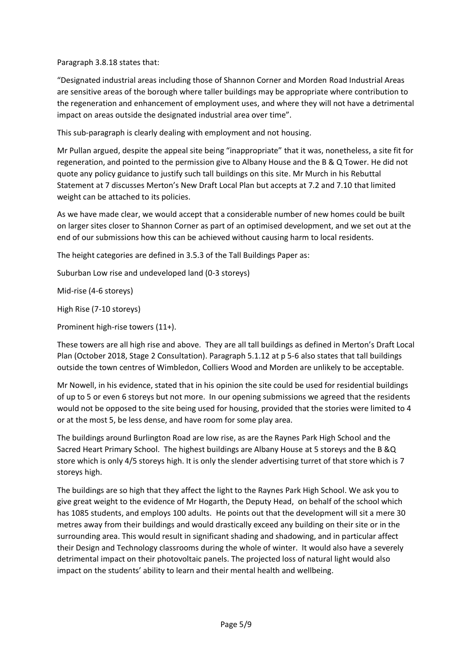Paragraph 3.8.18 states that:

"Designated industrial areas including those of Shannon Corner and Morden Road Industrial Areas are sensitive areas of the borough where taller buildings may be appropriate where contribution to the regeneration and enhancement of employment uses, and where they will not have a detrimental impact on areas outside the designated industrial area over time".

This sub-paragraph is clearly dealing with employment and not housing.

Mr Pullan argued, despite the appeal site being "inappropriate" that it was, nonetheless, a site fit for regeneration, and pointed to the permission give to Albany House and the B & Q Tower. He did not quote any policy guidance to justify such tall buildings on this site. Mr Murch in his Rebuttal Statement at 7 discusses Merton's New Draft Local Plan but accepts at 7.2 and 7.10 that limited weight can be attached to its policies.

As we have made clear, we would accept that a considerable number of new homes could be built on larger sites closer to Shannon Corner as part of an optimised development, and we set out at the end of our submissions how this can be achieved without causing harm to local residents.

The height categories are defined in 3.5.3 of the Tall Buildings Paper as:

Suburban Low rise and undeveloped land (0-3 storeys)

Mid-rise (4-6 storeys)

High Rise (7-10 storeys)

Prominent high-rise towers (11+).

These towers are all high rise and above. They are all tall buildings as defined in Merton's Draft Local Plan (October 2018, Stage 2 Consultation). Paragraph 5.1.12 at p 5-6 also states that tall buildings outside the town centres of Wimbledon, Colliers Wood and Morden are unlikely to be acceptable.

Mr Nowell, in his evidence, stated that in his opinion the site could be used for residential buildings of up to 5 or even 6 storeys but not more. In our opening submissions we agreed that the residents would not be opposed to the site being used for housing, provided that the stories were limited to 4 or at the most 5, be less dense, and have room for some play area.

The buildings around Burlington Road are low rise, as are the Raynes Park High School and the Sacred Heart Primary School. The highest buildings are Albany House at 5 storeys and the B &Q store which is only 4/5 storeys high. It is only the slender advertising turret of that store which is 7 storeys high.

The buildings are so high that they affect the light to the Raynes Park High School. We ask you to give great weight to the evidence of Mr Hogarth, the Deputy Head, on behalf of the school which has 1085 students, and employs 100 adults. He points out that the development will sit a mere 30 metres away from their buildings and would drastically exceed any building on their site or in the surrounding area. This would result in significant shading and shadowing, and in particular affect their Design and Technology classrooms during the whole of winter. It would also have a severely detrimental impact on their photovoltaic panels. The projected loss of natural light would also impact on the students' ability to learn and their mental health and wellbeing.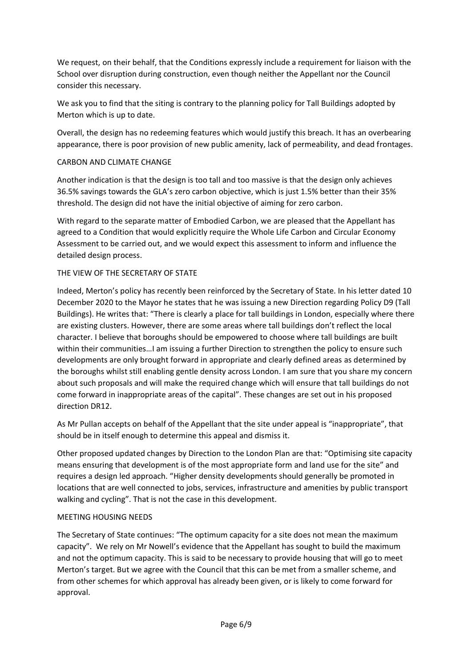We request, on their behalf, that the Conditions expressly include a requirement for liaison with the School over disruption during construction, even though neither the Appellant nor the Council consider this necessary.

We ask you to find that the siting is contrary to the planning policy for Tall Buildings adopted by Merton which is up to date.

Overall, the design has no redeeming features which would justify this breach. It has an overbearing appearance, there is poor provision of new public amenity, lack of permeability, and dead frontages.

# CARBON AND CLIMATE CHANGE

Another indication is that the design is too tall and too massive is that the design only achieves 36.5% savings towards the GLA's zero carbon objective, which is just 1.5% better than their 35% threshold. The design did not have the initial objective of aiming for zero carbon.

With regard to the separate matter of Embodied Carbon, we are pleased that the Appellant has agreed to a Condition that would explicitly require the Whole Life Carbon and Circular Economy Assessment to be carried out, and we would expect this assessment to inform and influence the detailed design process.

#### THE VIEW OF THE SECRETARY OF STATE

Indeed, Merton's policy has recently been reinforced by the Secretary of State. In his letter dated 10 December 2020 to the Mayor he states that he was issuing a new Direction regarding Policy D9 (Tall Buildings). He writes that: "There is clearly a place for tall buildings in London, especially where there are existing clusters. However, there are some areas where tall buildings don't reflect the local character. I believe that boroughs should be empowered to choose where tall buildings are built within their communities…I am issuing a further Direction to strengthen the policy to ensure such developments are only brought forward in appropriate and clearly defined areas as determined by the boroughs whilst still enabling gentle density across London. I am sure that you share my concern about such proposals and will make the required change which will ensure that tall buildings do not come forward in inappropriate areas of the capital". These changes are set out in his proposed direction DR12.

As Mr Pullan accepts on behalf of the Appellant that the site under appeal is "inappropriate", that should be in itself enough to determine this appeal and dismiss it.

Other proposed updated changes by Direction to the London Plan are that: "Optimising site capacity means ensuring that development is of the most appropriate form and land use for the site" and requires a design led approach. "Higher density developments should generally be promoted in locations that are well connected to jobs, services, infrastructure and amenities by public transport walking and cycling". That is not the case in this development.

# MEETING HOUSING NEEDS

The Secretary of State continues: "The optimum capacity for a site does not mean the maximum capacity". We rely on Mr Nowell's evidence that the Appellant has sought to build the maximum and not the optimum capacity. This is said to be necessary to provide housing that will go to meet Merton's target. But we agree with the Council that this can be met from a smaller scheme, and from other schemes for which approval has already been given, or is likely to come forward for approval.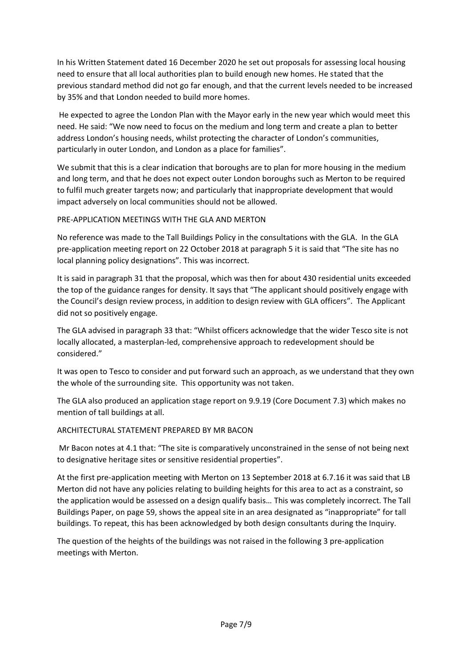In his Written Statement dated 16 December 2020 he set out proposals for assessing local housing need to ensure that all local authorities plan to build enough new homes. He stated that the previous standard method did not go far enough, and that the current levels needed to be increased by 35% and that London needed to build more homes.

He expected to agree the London Plan with the Mayor early in the new year which would meet this need. He said: "We now need to focus on the medium and long term and create a plan to better address London's housing needs, whilst protecting the character of London's communities, particularly in outer London, and London as a place for families".

We submit that this is a clear indication that boroughs are to plan for more housing in the medium and long term, and that he does not expect outer London boroughs such as Merton to be required to fulfil much greater targets now; and particularly that inappropriate development that would impact adversely on local communities should not be allowed.

# PRE-APPLICATION MEETINGS WITH THE GLA AND MERTON

No reference was made to the Tall Buildings Policy in the consultations with the GLA. In the GLA pre-application meeting report on 22 October 2018 at paragraph 5 it is said that "The site has no local planning policy designations". This was incorrect.

It is said in paragraph 31 that the proposal, which was then for about 430 residential units exceeded the top of the guidance ranges for density. It says that "The applicant should positively engage with the Council's design review process, in addition to design review with GLA officers". The Applicant did not so positively engage.

The GLA advised in paragraph 33 that: "Whilst officers acknowledge that the wider Tesco site is not locally allocated, a masterplan-led, comprehensive approach to redevelopment should be considered."

It was open to Tesco to consider and put forward such an approach, as we understand that they own the whole of the surrounding site. This opportunity was not taken.

The GLA also produced an application stage report on 9.9.19 (Core Document 7.3) which makes no mention of tall buildings at all.

# ARCHITECTURAL STATEMENT PREPARED BY MR BACON

Mr Bacon notes at 4.1 that: "The site is comparatively unconstrained in the sense of not being next to designative heritage sites or sensitive residential properties".

At the first pre-application meeting with Merton on 13 September 2018 at 6.7.16 it was said that LB Merton did not have any policies relating to building heights for this area to act as a constraint, so the application would be assessed on a design qualify basis… This was completely incorrect. The Tall Buildings Paper, on page 59, shows the appeal site in an area designated as "inappropriate" for tall buildings. To repeat, this has been acknowledged by both design consultants during the Inquiry.

The question of the heights of the buildings was not raised in the following 3 pre-application meetings with Merton.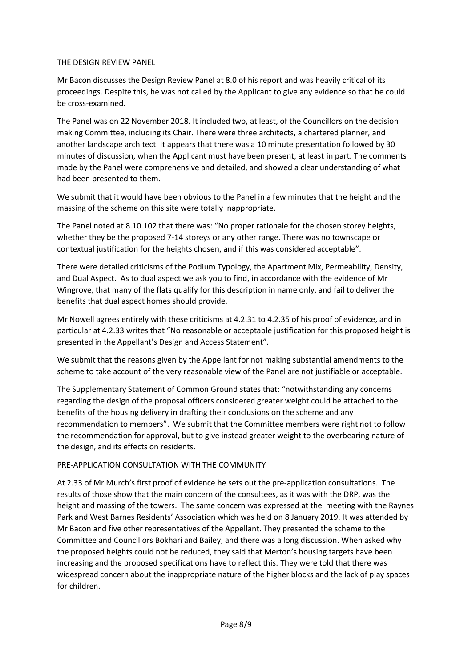#### THE DESIGN REVIEW PANEL

Mr Bacon discusses the Design Review Panel at 8.0 of his report and was heavily critical of its proceedings. Despite this, he was not called by the Applicant to give any evidence so that he could be cross-examined.

The Panel was on 22 November 2018. It included two, at least, of the Councillors on the decision making Committee, including its Chair. There were three architects, a chartered planner, and another landscape architect. It appears that there was a 10 minute presentation followed by 30 minutes of discussion, when the Applicant must have been present, at least in part. The comments made by the Panel were comprehensive and detailed, and showed a clear understanding of what had been presented to them.

We submit that it would have been obvious to the Panel in a few minutes that the height and the massing of the scheme on this site were totally inappropriate.

The Panel noted at 8.10.102 that there was: "No proper rationale for the chosen storey heights, whether they be the proposed 7-14 storeys or any other range. There was no townscape or contextual justification for the heights chosen, and if this was considered acceptable".

There were detailed criticisms of the Podium Typology, the Apartment Mix, Permeability, Density, and Dual Aspect. As to dual aspect we ask you to find, in accordance with the evidence of Mr Wingrove, that many of the flats qualify for this description in name only, and fail to deliver the benefits that dual aspect homes should provide.

Mr Nowell agrees entirely with these criticisms at 4.2.31 to 4.2.35 of his proof of evidence, and in particular at 4.2.33 writes that "No reasonable or acceptable justification for this proposed height is presented in the Appellant's Design and Access Statement".

We submit that the reasons given by the Appellant for not making substantial amendments to the scheme to take account of the very reasonable view of the Panel are not justifiable or acceptable.

The Supplementary Statement of Common Ground states that: "notwithstanding any concerns regarding the design of the proposal officers considered greater weight could be attached to the benefits of the housing delivery in drafting their conclusions on the scheme and any recommendation to members". We submit that the Committee members were right not to follow the recommendation for approval, but to give instead greater weight to the overbearing nature of the design, and its effects on residents.

# PRE-APPLICATION CONSULTATION WITH THE COMMUNITY

At 2.33 of Mr Murch's first proof of evidence he sets out the pre-application consultations. The results of those show that the main concern of the consultees, as it was with the DRP, was the height and massing of the towers. The same concern was expressed at the meeting with the Raynes Park and West Barnes Residents' Association which was held on 8 January 2019. It was attended by Mr Bacon and five other representatives of the Appellant. They presented the scheme to the Committee and Councillors Bokhari and Bailey, and there was a long discussion. When asked why the proposed heights could not be reduced, they said that Merton's housing targets have been increasing and the proposed specifications have to reflect this. They were told that there was widespread concern about the inappropriate nature of the higher blocks and the lack of play spaces for children.